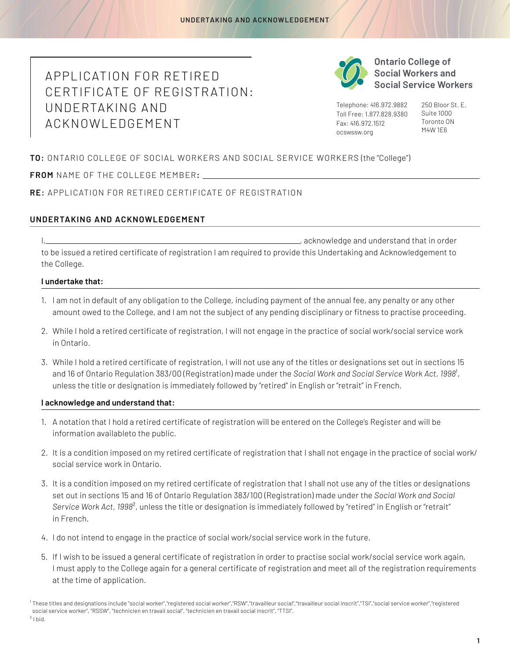## APPLICATION FOR RETIRED CERTIFICATE OF REGISTR ATION: UNDERTAKING AND ACKNOWLEDGEMENT



**Ontario College of Social Workers and Social Service Workers** 

Telephone: 416.972.9882 Toll Free: 1.877.828.9380 Fax: 416.972.1512 ocswssw.org

250 Bloor St. E. Suite 1000 Toronto ON M4W 1E6

**TO:** ONTARIO COLLEGE OF SOCIAL WORKERS AND SOCIAL SERVICE WORKERS (the "College")

NAME OF THE COLLEGE MEMBER**: FROM** 

**RE:** APPLICATION FOR RETIRED CERTIFICATE OF REGISTR ATION

## **UNDERTAKING AND ACKNOWLEDGEMENT**

I, , acknowledge and understand that in order to be issued a retired certificate of registration I am required to provide this Undertaking and Acknowledgement to the College.

## **I undertake that:**

- 1. I am not in default of any obligation to the College, including payment of the annual fee, any penalty or any other amount owed to the College, and I am not the subject of any pending disciplinary or fitness to practise proceeding.
- 2. While I hold a retired certificate of registration, I will not engage in the practice of social work/social service work in Ontario.
- 3. While I hold a retired certificate of registration, I will not use any of the titles or designations set out in sections 15 and 16 of Ontario Regulation 383/00 (Registration) made under the *Social Work and Social Service Work Act*, 1998<sup>1</sup>, unless the title or designation is immediately followed by "retired" in English or "retrait" in French.

## **I acknowledge and understand that:**

- 1. A notation that I hold a retired certificate of registration will be entered on the College's Register and will be information availableto the public.
- 2. It is a condition imposed on my retired certificate of registration that I shall not engage in the practice of social work/ social service work in Ontario.
- 3. It is a condition imposed on my retired certificate of registration that I shall not use any of the titles or designations set out in sections 15 and 16 of Ontario Regulation 383/100 (Registration) made under the *Social Work and Social Service Work Act, 1998*², unless the title or designation is immediately followed by "retired" in English or "retrait" in French.
- 4. I do not intend to engage in the practice of social work/social service work in the future.
- 5. If I wish to be issued a general certificate of registration in order to practise social work/social service work again, I must apply to the College again for a general certificate of registration and meet all of the registration requirements at the time of application.

<sup>&</sup>lt;sup>1</sup>These titles and designations include "social worker","registered social worker","RSW","travailleur social","travailleur social inscrit","TSI","social service worker","registered social service worker", "RSSW", "technicien en travail social", "technicien en travail social inscrit", "TTSI".